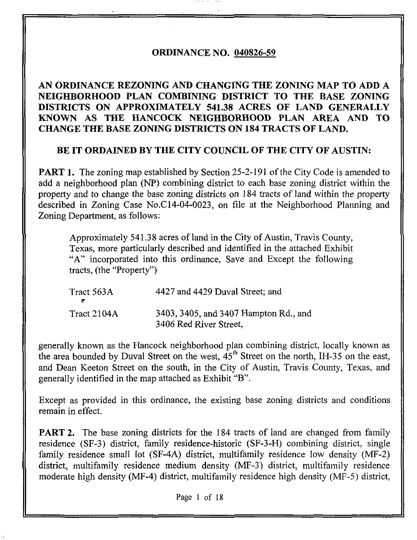## ORDINANCE NO. 040826-59

# AN ORDINANCE REZONING AND CHANGING THE ZONING MAP TO ADD A NEIGHBORHOOD PLAN COMBINING DISTRICT TO THE BASE ZONING DISTRICTS ON APPROXIMATELY 541.38 ACRES OF LAND GENERALLY KNOWN AS THE HANCOCK NEIGHBORHOOD PLAN AREA AND TO CHANGE THE BASE ZONING DISTRICTS ON 184 TRACTS OF LAND.

## BE IT ORDAINED BY THE CITY COUNCIL OF THE CITY OF AUSTIN:

PART 1. The zoning map established by Section 25-2-191 of the City Code is amended to add a neighborhood plan (NP) combining district to each base zoning district within the property and to change the base zoning districts on 184 tracts of land within the property described in Zoning Case No.C 14-04-0023, on file at the Neighborhood Planning and Zoning Department, as follows:

Approximately 541.38 acres of land in the City of Austin, Travis County, Texas, more particularly described and identified in the attached Exhibit "A"' incorporated into this ordinance, Save and Except the following tracts, (the "Property")

| Tract 563A  | 4427 and 4429 Duval Street; and                                 |
|-------------|-----------------------------------------------------------------|
| Tract 2104A | 3403, 3405, and 3407 Hampton Rd., and<br>3406 Red River Street, |

generally known as the Hancock neighborhood plan combining district, locally known as the area bounded by Duval Street on the west,  $45<sup>th</sup>$  Street on the north, IH-35 on the east, and Dean Keeton Street on the south, in the City of Austin, Travis County, Texas, and generally identified in the map attached as Exhibit "B".

Except as provided in this ordinance, the existing base zoning districts and conditions remain in effect.

PART 2. The base zoning districts for the 184 tracts of land are changed from family residence (SF-3) district, family residence-historic (SF-3-H) combining district, single family residence small lot (SF-4A) district, multifamily residence low density (MF-2) district, multifamily residence medium density (MF-3) district, multifamily residence moderate high density (MF-4) district, multifamily residence high density (MF-5) district.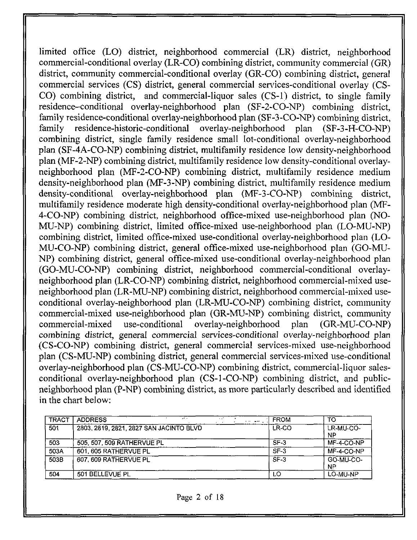limited office (LO) district, neighborhood commercial (LR) district, neighborhood commercial-conditional overlay (LR-CO) combining district, community commercial (GR) district, community commercial-conditional overlay (GR-CO) combining district, general commercial services  $(CS)$  district, general commercial services-conditional overlay  $(CS)$ -CO) combining district, and commercial-liquor sales (CS-1) district, to single family residence-conditional overlay-neighborhood plan (SF-2-CO-NP) combining district, family residence-conditional overlay-neighborhood plan (SF-3-CO-NP) combining district, family residence-historic-conditional overlay-neighborhood plan (SF-3-H-CO-NP) combining district, single family residence small lot-conditional overlay-neighborhood plan (SF-4A-CO-NP) combining district, multifarnily residence low density-neighborhood plan (MF-2-NP) combining district, multifamily residence low density-conditional overlayneighborhood plan (MF-2-CO-NP) combining district, multifamily residence medium density-neighborhood plan (MF-3-NP) combining district, multifamily residence medium density-conditional overlay-neighborhood plan (MF-3-CO-NP) combining district, multifamily residence moderate high density-conditional overlay-neighborhood plan (MF-4-CO-NP) combining district, neighborhood office-mixed use-neighborhood plan (NO-MU-NP) combining district, limited office-mixed use-neighborhood plan (LO-MU-NP) combining district, limited office-mixed use-conditional overlay-neighborhood plan (LO-MU-CO-NP) combining district, general office-mixed use-neighborhood plan (GO-MU-NP) combining district, general office-mixed use-conditional overlay-neighborhood plan (GO-MU-CO-NP) combining district, neighborhood commercial-conditional overlayneighborhood plan (LR-CO-NP) combining district, neighborhood commercial-mixed useneighborhood plan (LR-MU-NP) combining district, neighborhood commercial-mixed useconditional overlay-neighborhood plan (LR-MU-CO-NP) combining district, community commercial-mixed use-neighborhood plan (GR-MU-NP) combining district, community commercial-mixed use-conditional overlay-neighborhood plan (GR-MU-CO-NP) combining district, general commercial services-conditional overlay-neighborhood plan (CS-CO-NP) combining district, general commercial services-mixed use-neighborhood plan (CS-MU-NP) combining district, general commercial services-mixed use-conditional overlay-neighborhood plan (CS-MU-CONP) combining district, commercial-liquor salesconditional overlay-neighborhood plan (CS-1-CO-NP) combining district, and publicneighborhood plan (P-NP) combining district, as more particularly described and identified in the chart below:

| <b>TRACT</b> | <b>ADDRESS</b><br>$\sim$ $-$<br>$\sim$ $\sim$<br>a sa company of | <b>FROM</b> | то              |
|--------------|------------------------------------------------------------------|-------------|-----------------|
| 501          | 2803, 2819, 2821, 2827 SAN JACINTO BLVD                          | LR-CO       | LR-MU-CO-<br>NP |
| 503          | 505, 507, 509 RATHERVUE PL                                       | SF-3        | $MF-4-CO-NP$    |
| 503A         | 601, 605 RATHERVUE PL                                            | $SF-3$      | MF-4-CO-NP      |
| 503B         | 607, 609 RATHERVUE PL                                            | $SF-3$      | GO-MU-CO-<br>ΝP |
| 504          | 501 BELLEVUE PL                                                  | LO          | LO-MU-NP        |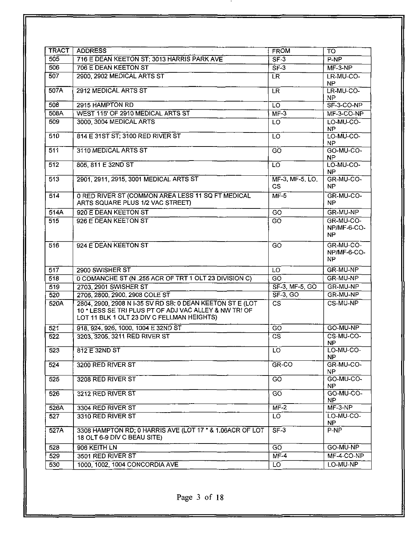| <b>TRACT</b>     | <b>ADDRESS</b>                                                                                                                                                   | <b>FROM</b>                               | <b>TO</b>                       |
|------------------|------------------------------------------------------------------------------------------------------------------------------------------------------------------|-------------------------------------------|---------------------------------|
| 505              | 716 E DEAN KEETON ST; 3013 HARRIS PARK AVE                                                                                                                       | $SF-3$                                    | P-NP                            |
| 506              | 706 E DEAN KEETON ST                                                                                                                                             | SF3                                       | $MF-3-NP$                       |
| $\overline{507}$ | 2900, 2902 MEDICAL ARTS ST                                                                                                                                       | <b>LR</b>                                 | LR-MU-CO-<br>NP.                |
| 507A             | 2912 MEDICAL ARTS ST                                                                                                                                             | LR.                                       | LR-MU-CO-<br>NP.                |
| 508              | 2915 HAMPTON RD                                                                                                                                                  | LO                                        | SF-3-CO-NP                      |
| 508A             | WEST 115' OF 2910 MEDICAL ARTS ST                                                                                                                                | $\overline{\mathsf{MF-3}}$                | $MF-3-CO-NP$                    |
| 509              | 3000, 3004 MEDICAL ARTS                                                                                                                                          | $\overline{10}$                           | LO-MU-CO-<br>NP.                |
| 510              | 814 E 31ST ST; 3100 RED RIVER ST                                                                                                                                 | LO                                        | LO-MU-CO-<br>NP.                |
| $\overline{511}$ | 3110 MEDICAL ARTS ST                                                                                                                                             | GŌ                                        | GO-MU-CO-<br>NP.                |
| $\overline{512}$ | 805, 811 E 32ND ST                                                                                                                                               | LO.                                       | LO-MU-CO-<br><b>NP</b>          |
| $\overline{513}$ | 2901, 2911, 2915, 3001 MEDICAL ARTS ST                                                                                                                           | $\overline{\text{MF-3}}$ MF-5. LO.<br>CS. | GR MU-CO-<br>NP.                |
| $\overline{514}$ | 0 RED RIVER ST (COMMON AREA LESS 11 SQ FT MEDICAL<br>ARTS SQUARE PLUS 1/2 VAC STREET)                                                                            | $\overline{\text{MF}}$ -5                 | GR-MU-CO-<br>NP.                |
| 514A             | 920 E DEAN KEETON ST                                                                                                                                             | $\overline{GO}$                           | GR-MU-NP                        |
| 515              | 926 E DEAN KEETON ST                                                                                                                                             | GO                                        | GR-MU-CO-<br>NP/MF-6-CO-<br>NP. |
| 516              | 924 E DEAN KEETON ST                                                                                                                                             | GO                                        | GR-MU-CO-<br>NP/MF-6-CO-<br>NP. |
| 517              | 2900 SWISHER ST                                                                                                                                                  | LO                                        | GR-MU-NP                        |
| 518              | 0 COMANCHE ST (N .255 ACR OF TRT 1 OLT 23 DIVISION C)                                                                                                            | ਨਾ                                        | GR-MU-NP                        |
| 519              | 2703 2901 SWISHER ST                                                                                                                                             | SF-3, MF-5, GO                            | GR-MU-NP                        |
| 520              | 2706, 2800, 2900, 2908 COLE ST                                                                                                                                   | $SF-3, GO$                                | GR-MU-NP                        |
| 520A             | 2804, 2900, 2908 N I-35 SV RD SB; 0 DEAN KEETON ST E (LOT<br>10 * LESS SE TRI PLUS PT OF ADJ VAC ALLEY & NW TRI OF<br>LOT 11 BLK 1 OLT 23 DIV C FELLMAN HEIGHTS) | $\overline{\text{cs}}$                    | CS-MU-NP                        |
| 521              | 918, 924, 926, 1000, 1004 E 32ND ST                                                                                                                              | $\overline{SO}$                           | GO-MU-NP                        |
| 522              | 3203, 3205, 3211 RED RIVER ST                                                                                                                                    | $\overline{\text{cs}}$                    | CS-MU-CO-<br><b>NP</b>          |
| 523              | 812 E 32ND ST                                                                                                                                                    | LO                                        | LO-MU-CO-<br>NP.                |
| $\overline{524}$ | 3200 RED RIVER ST                                                                                                                                                | $GR$ -CO                                  | GR-MU-CO-<br>NP.                |
| 525              | 3208 RED RIVER ST                                                                                                                                                | GO                                        | GO-MU-CO-<br>NP.                |
| 526              | 3212 RED RIVER ST                                                                                                                                                | GO                                        | GO-MU-CO-<br>NP.                |
| 526A             | 3304 RED RIVER ST                                                                                                                                                | $\overline{\mathsf{MF-2}}$                | $MF-3-NP$                       |
| 527              | 3310 RED RIVER ST                                                                                                                                                | LO.                                       | LO-MU-CO-<br>NP.                |
| 527A             | 3308 HAMPTON RD; 0 HARRIS AVE (LOT 17 * & 1.06ACR OF LOT<br>18 OLT 6-9 DIV C BEAU SITE)                                                                          | $SF-3$                                    | $P-NP$                          |
| 528              | 906 KEITH LN                                                                                                                                                     | $\overline{GO}$                           | GO-MU-NP                        |
| 529              | 3501 RED RIVER ST                                                                                                                                                | $MF-4$                                    | MF-4-CO-NP                      |
| 530              | 1000, 1002, 1004 CONCORDIA AVE                                                                                                                                   | LO                                        | LO-MU-NP                        |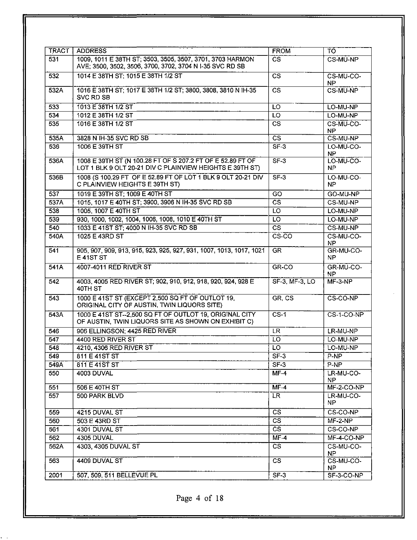| <b>TRACT</b> | <b>ADDRESS</b>                                                                                                         | <b>FROM</b>                | TO.                    |
|--------------|------------------------------------------------------------------------------------------------------------------------|----------------------------|------------------------|
| 531          | 1009, 1011 E 38TH ST; 3503, 3505, 3507, 3701, 3703 HARMON<br>AVE; 3500, 3502, 3506, 3700, 3702, 3704 N I-35 SVC RD SB  | $\overline{\text{cs}}$     | CS-MU-NP               |
| 532          | 1014 E 38TH ST; 1015 E 38TH 1/2 ST                                                                                     | $\overline{\text{CS}}$     | CS-MU-CO-<br>NP.       |
| 532A         | 1016 E 38TH ST; 1017 E 38TH 1/2 ST; 3800, 3808, 3810 N IH-35<br>SVC RD SB                                              | CS.                        | CS-MU-NP               |
| 533          | 1013 E 38TH 1/2 ST                                                                                                     | LO                         | LO-MU-NP               |
| 534          | 1012 E 38TH 1/2 ST                                                                                                     | LO                         | LO-MU-NP               |
| 535          | 1016 E 38TH 1/2 ST                                                                                                     | $\overline{\text{cs}}$     | CS-MU-CO-<br><b>NP</b> |
| 535A         | 3828 N IH-35 SVC RD SB                                                                                                 | $\overline{\text{cs}}$     | CS-MU-NP               |
| 536          | 1006 E 39TH ST                                                                                                         | SF <sub>3</sub>            | LO-MU-CO-<br><b>NP</b> |
| 536A         | 1008 E 39TH ST (N 100.28 FT OF S 207.2 FT OF E 52.89 FT OF<br>LOT 1 BLK 9 OLT 20-21 DIV C PLAINVIEW HEIGHTS E 39TH ST) | $SF-3$                     | LO-MU-CO-<br>NP.       |
| 536B         | 1008 (S 100.29 FT OF E 52.89 FT OF LOT 1 BLK 9 OLT 20-21 DIV<br>C PLAINVIEW HEIGHTS E 39TH ST)                         | $SF-3$                     | LO-MU-CO-<br><b>NP</b> |
| 537          | 1019 E 39TH ST; 1009 E 40TH ST                                                                                         | GO                         | GO-MU-NP               |
| 537A         | 1015, 1017 E 40TH ST; 3900, 3906 N IH-35 SVC RD SB                                                                     | $\overline{\text{cs}}$     | CS-MU-NP               |
| 538          | 1005, 1007 E 40TH ST                                                                                                   | LO                         | LO-MU-NP               |
| 539          | 930, 1000, 1002, 1004, 1006, 1008, 1010 E 40TH ST                                                                      | $\overline{L}$             | LO-MU-NP               |
| 540          | 1033 E 41ST ST: 4000 N IH-35 SVC RD SB                                                                                 | $\overline{\text{cs}}$     | CS-MU-NP               |
| 540A         | 1025 E 43RD ST                                                                                                         | $\overline{\text{CS-CO}}$  | CS-MU-CO-<br>NP        |
| 541          | 905, 907, 909, 913, 915, 923, 925, 927, 931, 1007, 1013, 1017, 1021<br>E 41ST ST                                       | <b>GR</b>                  | GR-MU-CO-<br>NP        |
| 541A         | 4007-4011 RED RIVER ST                                                                                                 | $GR-CO$                    | GR-MU-CO-<br>NP.       |
| 542          | 4003, 4005 RED RIVER ST; 902, 910, 912, 918, 920, 924, 928 E<br>40TH ST                                                | SF-3 MF-3 LO               | $MF-3-NP$              |
| 543          | 1000 E 41ST ST (EXCEPT 2,500 SQ FT OF OUTLOT 19,<br>ORIGINAL CITY OF AUSTIN, TWIN LIQUORS SITE)                        | GR, CS                     | CS-CO-NP               |
| 543A         | 1000 E 41ST ST--2,500 SQ FT OF OUTLOT 19, ORIGINAL CITY<br>OF AUSTIN, TWIN LIQUORS SITE AS SHOWN ON EXHIBIT C)         | $CS-1$                     | $CS-1-CO-NP$           |
| 546          | 906 ELLINGSON; 4425 RED RIVER                                                                                          | LR.                        | LR-MU-NP               |
| 547          | 4400 RED RIVER ST                                                                                                      | ፒσ                         | LO-MU-NP               |
| 548          | 4210, 4306 RED RIVER ST                                                                                                | $\overline{10}$            | LO-MU-NP               |
| 549          | 811 E 41ST ST                                                                                                          | $SF-3$                     | P-NP                   |
| 549A         | 811 E 41ST ST                                                                                                          | $SF-3$                     | $P-NP$                 |
| 550          | 4003 DUVAL                                                                                                             | $MF-4$                     | LR-MU-CO-<br>NP.       |
| 551          | 506 E 40TH ST                                                                                                          | $MF-4$                     | MF-2-CO-NP             |
| 557          | 500 PARK BLVD                                                                                                          | LR.                        | LR-MU-CO-<br>NP.       |
| 559          | 4215 DUVAL ST                                                                                                          | $\overline{\text{cs}}$     | CS-CO-NP               |
| 560          | 503 E 43RD ST                                                                                                          | $\overline{\text{cs}}$     | $MF-2-NP$              |
| 561          | 4301 DUVAL ST                                                                                                          | $\overline{\text{cs}}$     | CS-CO-NP               |
| 562          | 4305 DUVAL                                                                                                             | $\overline{\mathsf{MF-4}}$ | MF-4-CO-NP             |
| 562A         | 4303, 4305 DUVAL ST                                                                                                    | $\overline{\text{cs}}$     | CS-MU-CO-<br><b>NP</b> |
| 563          | 4409 DUVAL ST                                                                                                          | $\overline{\text{cs}}$     | CS-MU-CO-<br>NP.       |
| 2001         | 507, 509, 511 BELLEVUE PL                                                                                              | $SF-3$                     | SF-3-CO-NP             |

Page 4 of 18

 $\epsilon$  .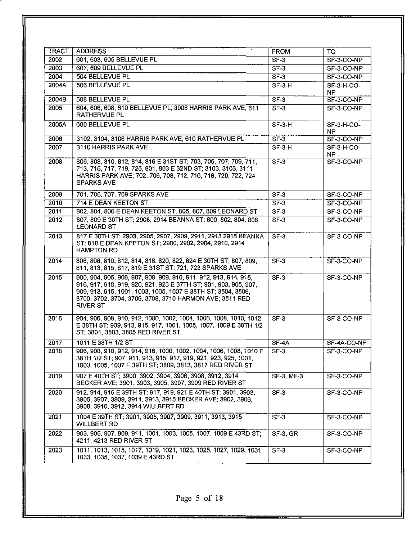| TRACT | <b>ADDRESS</b>                                                                                                                                                                                                                                                                     | <b>FROM</b>                         | TO.                 |
|-------|------------------------------------------------------------------------------------------------------------------------------------------------------------------------------------------------------------------------------------------------------------------------------------|-------------------------------------|---------------------|
| 2002  | 601, 603, 605 BELLEVUE PL                                                                                                                                                                                                                                                          | $SF-3$                              | SF-3-CO-NP          |
| 2003  | 607, 609 BELLEVUE PL                                                                                                                                                                                                                                                               | $SF-3$                              | SF-3-CO-NP          |
| 2004  | 504 BELLEVUE PL                                                                                                                                                                                                                                                                    | $SF-3$                              | SF-3-CO-NP          |
| 2004A | 506 BELLEVUE PL                                                                                                                                                                                                                                                                    | $SF-3-H$                            | SF-3-H-CO-<br>NP.   |
| 2004B | 508 BELLEVUE PL                                                                                                                                                                                                                                                                    | $SF-3$                              | SF-3-CO-NP          |
| 2005  | 604, 606, 608, 610 BELLEVUE PL; 3006 HARRIS PARK AVE; 611<br>RATHERVUE PL                                                                                                                                                                                                          | $SF-3$                              | SF-3-CO-NP          |
| 2005A | 600 BELLEVUE PL                                                                                                                                                                                                                                                                    | $SF-3-H$                            | $SF-3-H-CO-$<br>NP. |
| 2006  | 3102, 3104, 3106 HARRIS PARK AVE; 610 RATHERVUE PL                                                                                                                                                                                                                                 | $\overline{\mathsf{S}F\mathsf{-3}}$ | SF-3-CO-NP          |
| 2007  | 3110 HARRIS PARK AVE                                                                                                                                                                                                                                                               | $SF-3-H$                            | SF-3-H-CO-<br>NP.   |
| 2008  | 806, 808, 810, 812, 814, 816 E 31ST ST; 703, 705, 707, 709, 711,<br>713, 715, 717, 719, 725, 801, 803 E 32ND ST; 3103, 3103, 3111<br>HARRIS PARK AVE; 702, 706, 708, 712, 716, 718, 720, 722, 724<br><b>SPARKS AVE</b>                                                             | $SF-3$                              | SF-3-CO-NP          |
| 2009  | 701, 705, 707, 709 SPARKS AVE                                                                                                                                                                                                                                                      | $SF-3$                              | SF-3-CO-NP          |
| 2010  | 714 E DEAN KEETON ST                                                                                                                                                                                                                                                               | $SF-3$                              | SF-3-CO-NP          |
| 2011  | 802, 804, 806 E DEAN KEETON ST; 805, 807, 809 LEONARD ST                                                                                                                                                                                                                           | $SF-3$                              | SF-3-CO-NP          |
| 2012  | 807, 809 E 30TH ST; 2908, 2914 BEANNA ST; 800, 802, 804, 808<br><b>LEONARD ST</b>                                                                                                                                                                                                  | $SF-3$                              | SF-3-CO-NP          |
| 2013  | 817 E 30TH ST; 2903, 2905, 2907, 2909, 2911, 2913 2915 BEANNA<br>ST; 810 E DEAN KEETON ST; 2900, 2902, 2904, 2910, 2914<br><b>HAMPTON RD</b>                                                                                                                                       | $SF-3$                              | SF-3-CO-NP          |
| 2014  | 806, 808, 810, 812, 814, 818, 820, 822, 824 E 30TH ST; 807, 809,<br>811, 813, 815, 817, 819 E 31ST ST; 721, 723 SPARKS AVE                                                                                                                                                         | $SF-3$                              | SF-3-CO-NP          |
| 2015  | 900, 904, 905, 906, 907, 908, 909, 910, 911, 912, 913, 914, 915,<br>916, 917, 918, 919, 920, 921, 923 E 37TH ST; 901, 903, 905, 907,<br>909, 913, 915, 1001, 1003, 1005, 1007 E 38TH ST; 3504, 3506,<br>3700, 3702, 3704, 3706, 3708, 3710 HARMON AVE; 3511 RED<br><b>RIVER ST</b> | $SF-3$                              | SF-3-CO-NP          |
| 2016  | 904, 906, 908, 910, 912, 1000, 1002, 1004, 1006, 1008, 1010, 1012<br>E 38TH ST; 909, 913, 915, 917, 1001, 1005, 1007, 1009 E 38TH 1/2<br>ST; 3801, 3803, 3805 RED RIVER ST                                                                                                         | $SF-3$                              | SF-3-CO-NP          |
| 2017  | 1011 E 38TH 1/2 ST                                                                                                                                                                                                                                                                 | $SF-4A$                             | SF-4A-CO-NP         |
| 2018  | 906, 908, 910, 912, 914, 916, 1000, 1002, 1004, 1006, 1008, 1010 E<br>38TH 1/2 ST; 907, 911, 913, 915, 917, 919, 921, 923, 925, 1001,<br>1003, 1005, 1007 E 39TH ST; 3809, 3813, 3817 RED RIVER ST                                                                                 | $SF-3$                              | SF-3-CO-NP          |
| 2019  | 907 E 40TH ST; 3900, 3902, 3904, 3906, 3908, 3912, 3914<br>BECKER AVE; 3901, 3903, 3905, 3907, 3909 RED RIVER ST                                                                                                                                                                   | <b>SF-3 MF-3</b>                    | SF-3-CO-NP          |
| 2020  | 912, 914, 916 E 39TH ST; 917, 919, 921 E 40TH ST; 3901, 3903,<br>3905, 3907, 3909, 3911, 3913, 3915 BECKER AVE; 3902, 3906,<br>3908, 3910, 3912, 3914 WILLBERT RD                                                                                                                  | $SF-3$                              | SF-3-CO-NP          |
| 2021  | 1004 E 39TH ST; 3901, 3905, 3907, 3909, 3911, 3913, 3915<br><b>WILLBERT RD</b>                                                                                                                                                                                                     | S <sub>F</sub> 3                    | SF-3-CO-NP          |
| 2022  | 903, 905, 907, 909, 911, 1001, 1003, 1005, 1007, 1009 E 43RD ST;<br>4211, 4213 RED RIVER ST                                                                                                                                                                                        | SF-3 GR                             | SF-3-CO-NP          |
| 2023  | 1011, 1013, 1015, 1017, 1019, 1021, 1023, 1025, 1027, 1029, 1031,<br>1033, 1035, 1037, 1039 E 43RD ST                                                                                                                                                                              | $SF-3$                              | SF-3-CO-NP          |
|       |                                                                                                                                                                                                                                                                                    |                                     |                     |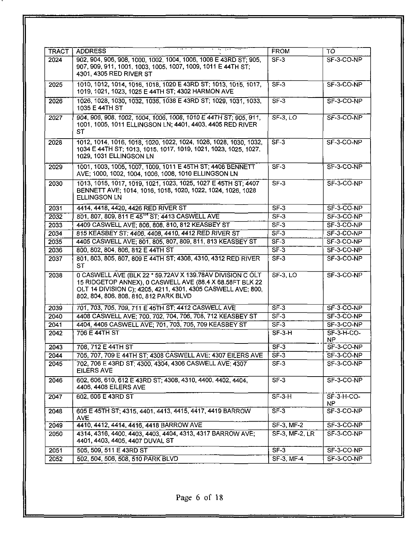| 902, 904, 906, 908, 1000, 1002, 1004, 1006, 1008 E 43RD ST: 905.<br>907, 909, 911, 1001, 1003, 1005, 1007, 1009, 1011 E 44TH ST;<br>4301, 4305 RED RIVER ST<br>1010, 1012, 1014, 1016, 1018, 1020 E 43RD ST; 1013, 1015, 1017,<br>1019, 1021, 1023, 1025 E 44TH ST; 4302 HARMON AVE<br>1026, 1028, 1030, 1032, 1036, 1038 E 43RD ST; 1029, 1031, 1033,<br>1035 E 44TH ST<br>904, 906, 908, 1002, 1004, 1006, 1008, 1010 E 44TH ST; 905, 911.<br>1001, 1005, 1011 ELLINGSON LN; 4401, 4403, 4405 RED RIVER<br><b>ST</b> | $SF-3$<br>$SF-3$<br>$SF-3$<br>$SF-3, LO$                                                       | SF-3-CO-NP<br>$SF-3-CO-NP$<br>SF-3-CO-NP |
|------------------------------------------------------------------------------------------------------------------------------------------------------------------------------------------------------------------------------------------------------------------------------------------------------------------------------------------------------------------------------------------------------------------------------------------------------------------------------------------------------------------------|------------------------------------------------------------------------------------------------|------------------------------------------|
|                                                                                                                                                                                                                                                                                                                                                                                                                                                                                                                        |                                                                                                |                                          |
|                                                                                                                                                                                                                                                                                                                                                                                                                                                                                                                        |                                                                                                |                                          |
|                                                                                                                                                                                                                                                                                                                                                                                                                                                                                                                        |                                                                                                |                                          |
|                                                                                                                                                                                                                                                                                                                                                                                                                                                                                                                        |                                                                                                | SF-3-CO-NP                               |
| 1012, 1014, 1016, 1018, 1020, 1022, 1024, 1026, 1028, 1030, 1032,<br>1034 E 44TH ST; 1013, 1015, 1017, 1019, 1021, 1023, 1025, 1027,<br>1029, 1031 ELLINGSON LN                                                                                                                                                                                                                                                                                                                                                        | $SF-3$                                                                                         | SF-3-CO-NP                               |
| 1001, 1003, 1005, 1007, 1009, 1011 E 45TH ST; 4406 BENNETT<br>AVE; 1000, 1002, 1004, 1006, 1008, 1010 ELLINGSON LN                                                                                                                                                                                                                                                                                                                                                                                                     | SF-3                                                                                           | $SF-3-CO-NP$                             |
| 1013, 1015, 1017, 1019, 1021, 1023, 1025, 1027 E 45TH ST; 4407<br>BENNETT AVE; 1014, 1016, 1018, 1020, 1022, 1024, 1026, 1028<br><b>ELLINGSON LN</b>                                                                                                                                                                                                                                                                                                                                                                   | $SF-3$                                                                                         | SF-3-CO-NP                               |
| 4414, 4418, 4420, 4426 RED RIVER ST                                                                                                                                                                                                                                                                                                                                                                                                                                                                                    | $SF-3$                                                                                         | $SF-3-CO-NP$                             |
| 801, 807, 809, 811 E 45 <sup>H</sup> ST; 4413 CASWELL AVE                                                                                                                                                                                                                                                                                                                                                                                                                                                              | $SF-3$                                                                                         | $SF-3-CO-NP$                             |
| 4409 CASWELL AVE; 806, 808, 810, 812 KEASBEY ST                                                                                                                                                                                                                                                                                                                                                                                                                                                                        | $SF-3$                                                                                         | $SF-3-CO-NP$                             |
| 815 KEASBEY ST; 4406, 4408, 4410, 4412 RED RIVER ST                                                                                                                                                                                                                                                                                                                                                                                                                                                                    | $SF-3$                                                                                         | $SF-3-CO-NP$                             |
| 4405 CASWELL AVE; 801, 805, 807, 809, 811, 813 KEASBEY ST                                                                                                                                                                                                                                                                                                                                                                                                                                                              | $SF-3$                                                                                         | SF-3-CO-NP                               |
| 800, 802, 804, 806, 812 E 44TH ST                                                                                                                                                                                                                                                                                                                                                                                                                                                                                      | $SF-3$                                                                                         | SF-3-CO-NP                               |
| 801, 803, 805, 807, 809 E 44TH ST; 4308, 4310, 4312 RED RIVER<br><b>ST</b>                                                                                                                                                                                                                                                                                                                                                                                                                                             | $\overline{\text{SF}}-3$                                                                       | SF-3-CO-NP                               |
| 0 CASWELL AVE (BLK 22 * 59.72AV X 139.78AV DIVISION C OLT<br>15 RIDGETOP ANNEX), 0 CASWELL AVE (88.4 X 68.58FT BLK 22<br>OLT 14 DIVISION C); 4205, 4211, 4301, 4305 CASWELL AVE; 800,<br>802, 804, 806, 808, 810, 812 PARK BLVD                                                                                                                                                                                                                                                                                        | <b>SF-3, LO</b>                                                                                | SF-3-CO-NP                               |
|                                                                                                                                                                                                                                                                                                                                                                                                                                                                                                                        | $SF-3$                                                                                         | SF-3-CO-NP                               |
| 4408 CASWELL AVE: 700, 702, 704, 706, 708, 712 KEASBEY ST                                                                                                                                                                                                                                                                                                                                                                                                                                                              | $SF-3$                                                                                         | SF-3-CO-NP                               |
| 4404, 4406 CASWELL AVE; 701, 703, 705, 709 KEASBEY ST                                                                                                                                                                                                                                                                                                                                                                                                                                                                  | $SF-3$                                                                                         | SF-3-CO-NP                               |
| $\overline{70}$ 6 E 44TH ST                                                                                                                                                                                                                                                                                                                                                                                                                                                                                            | $SF-3-H$                                                                                       | $SF-3-H-CO-$<br><b>NP</b>                |
| 708, 712 E 44TH ST                                                                                                                                                                                                                                                                                                                                                                                                                                                                                                     |                                                                                                | SF-3-CO-NP                               |
| 705, 707, 709 E 44TH ST; 4308 CASWELL AVE; 4307 EILERS AVE                                                                                                                                                                                                                                                                                                                                                                                                                                                             | $SF-3$                                                                                         | SF-3-CO-NP                               |
| 702, 706 E 43RD ST: 4300, 4304, 4306 CASWELL AVE; 4307<br><b>EILERS AVE</b>                                                                                                                                                                                                                                                                                                                                                                                                                                            | $SF-3$                                                                                         | SF-3-CO-NP                               |
| 602, 606, 610, 612 E 43RD ST; 4308, 4310, 4400, 4402, 4404,<br>4406, 4408 EILERS AVE                                                                                                                                                                                                                                                                                                                                                                                                                                   | $SF-3$                                                                                         | SF-3-CO-NP                               |
| 602, 606 E 43RD ST                                                                                                                                                                                                                                                                                                                                                                                                                                                                                                     | $SF-3-H$                                                                                       | $SF-3-H-CO-$<br>NP.                      |
| 605 E 45TH ST; 4315, 4401, 4413, 4415, 4417, 4419 BARROW<br><b>AVE</b>                                                                                                                                                                                                                                                                                                                                                                                                                                                 | $SF-3$                                                                                         | $SF-3-CO-NP$                             |
|                                                                                                                                                                                                                                                                                                                                                                                                                                                                                                                        | SF-3, MF-2                                                                                     | $SF-3-CO-NP$                             |
| 4314, 4316, 4400, 4403, 4403, 4404, 4313, 4317 BARROW AVE;<br>4401, 4403, 4405, 4407 DUVAL ST                                                                                                                                                                                                                                                                                                                                                                                                                          | $SF-3$ , MF-2, LR                                                                              | $SF-3-CO-NP$                             |
| 505, 509, 511 E 43RD ST                                                                                                                                                                                                                                                                                                                                                                                                                                                                                                | $SF-3$                                                                                         | SF-3-CO-NP                               |
| 502, 504, 506, 508, 510 PARK BLVD                                                                                                                                                                                                                                                                                                                                                                                                                                                                                      | SF-3, MF-4                                                                                     | SF-3-CO-NP                               |
|                                                                                                                                                                                                                                                                                                                                                                                                                                                                                                                        | 701, 703, 705, 709, 711 E 45TH ST; 4412 CASWELL AVE<br>4410, 4412, 4414, 4416, 4418 BARROW AVE | SF3                                      |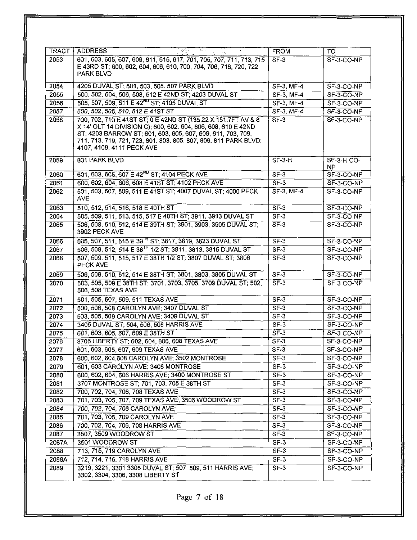| <b>TRACT</b> | <b>ADDRESS</b>                                                                                                                                                                                                                                                                                 | <b>FROM</b>               | TO                  |
|--------------|------------------------------------------------------------------------------------------------------------------------------------------------------------------------------------------------------------------------------------------------------------------------------------------------|---------------------------|---------------------|
| 2053         | 601, 603, 605, 607, 609, 611, 615, 617, 701, 705, 707, 711, 713, 715                                                                                                                                                                                                                           | $\overline{\text{SF}}$ -3 | $SF-3-CO-NP$        |
|              | E 43RD ST; 600, 602, 604, 606, 610, 700, 704, 706, 716, 720, 722<br><b>PARK BLVD</b>                                                                                                                                                                                                           |                           |                     |
| 2054         | 4205 DUVAL ST; 501, 503, 505, 507 PARK BLVD                                                                                                                                                                                                                                                    | $SF-3$ , $MF-4$           | $SF-3-CO-NP$        |
| 2055         | 500, 502, 504, 506, 508, 512 E 42ND ST; 4203 DUVAL ST                                                                                                                                                                                                                                          | <b>SF-3, MF-4</b>         | SF-3-CO-NP          |
| 2056         | 505, 507, 509, 511 E 42 <sup>ND</sup> ST; 4105 DUVAL ST                                                                                                                                                                                                                                        | $S\overline{F} - 3$ MF-4  | SF-3-CO-NP          |
| 2057         | 500, 502, 506, 510, 512 E 41ST ST                                                                                                                                                                                                                                                              | $SF-3$ MF-4               | SF-3-CO-NP          |
| 2058         | 700, 702, 710 E 41ST ST; 0 E 42ND ST (135.22 X 151.7FT AV & 8<br>X 14' OLT 14 DIVISION C); 600, 602, 604, 606, 608, 610 E 42ND<br>ST; 4203 BARROW ST; 601, 603, 605, 607, 609, 611, 703, 709,<br>711, 713, 719, 721, 723, 801, 803, 805, 807, 809, 811 PARK BLVD;<br>4107, 4109, 4111 PECK AVE | $SF-3$                    | $SF-3-CO-NP$        |
| 2059         | 801 PARK BLVD                                                                                                                                                                                                                                                                                  | $S$ F-3-H                 | $SF-3-H-CO-$<br>NP. |
| 2060         | 601, 603, 605, 607 E 42 <sup>ND</sup> ST; 4104 PECK AVE                                                                                                                                                                                                                                        | $SF-3$                    | SF-3-CO-NP          |
| 2061         | 600, 602, 604, 606, 608 E 41ST ST; 4102 PECK AVE                                                                                                                                                                                                                                               | $SF-3$                    | SF-3-CO-NP          |
| 2062         | 501, 503, 507, 509, 511 E 41ST ST; 4007 DUVAL ST; 4000 PECK<br><b>AVE</b>                                                                                                                                                                                                                      | $SF-3$ MF-4               | $SF-3 CO-NP$        |
| 2063         | 510, 512, 514, 516, 518 E 40TH ST                                                                                                                                                                                                                                                              | $SF-3$                    | SF-3-CO-NP          |
| 2064         | 505, 509, 511, 513, 515, 517 E 40TH ST; 3911, 3913 DUVAL ST                                                                                                                                                                                                                                    | S <sub>F</sub> 3          | SF-3-CO-NP          |
| 2065         | 506, 508, 510, 512, 514 E 39TH ST; 3901, 3903, 3905 DUVAL ST;<br>3902 PECK AVE                                                                                                                                                                                                                 | $SF-3$                    | SF-3-CO-NP          |
| 2066         | 505, 507, 511, 515 E 39 <sup>TH</sup> ST; 3817, 3819, 3823 DUVAL ST                                                                                                                                                                                                                            | $\overline{\text{SF}}$ 3  | SF 3 CO-NP          |
| 2067         | 506, 508, 512, 514 E 38 <sup>1H</sup> 1/2 ST; 3811, 3813, 3815 DUVAL ST                                                                                                                                                                                                                        | $SF-3$                    | SF-3-CO-NP          |
| 2068         | 507, 509, 511, 515, 517 E 38TH 1/2 ST; 3807 DUVAL ST; 3806<br>PECK AVE                                                                                                                                                                                                                         | $SF-3$                    | SF-3-CO-NP          |
| 2069         | 506, 508, 510, 512, 514 E 38TH ST; 3801, 3803, 3805 DUVAL ST                                                                                                                                                                                                                                   | $SF-3$                    | SF-3-CO-NP          |
| 2070         | 503, 505, 509 E 38TH ST; 3701, 3703, 3705, 3709 DUVAL ST; 502,<br>506, 508 TEXAS AVE                                                                                                                                                                                                           | $SF-3$                    | SF-3-CO-NP          |
| 2071         | 501, 505, 507, 509, 511 TEXAS AVE                                                                                                                                                                                                                                                              | $SF-3$                    | SF-3-CO-NP          |
| 2072         | 500, 506, 508 CAROLYN AVE; 3407 DUVAL ST                                                                                                                                                                                                                                                       | $SF-3$                    | SF-3-CO-NP          |
| 2073         | 503, 505, 509 CAROLYN AVE; 3409 DUVAL ST                                                                                                                                                                                                                                                       | SF <sub>3</sub>           | SF-3-CO-NP          |
| 2074         | 3405 DUVAL ST; 504, 506, 508 HARRIS AVE                                                                                                                                                                                                                                                        | $SF-3$                    | SF-3-CO-NP          |
| 2075         | 601, 603, 605, 607, 609 E 38TH ST                                                                                                                                                                                                                                                              | $SF-3$                    | $SF-3-CO-NP$        |
| 2076         | 3705 LIBERTY ST; 602, 604, 606, 608 TEXAS AVE                                                                                                                                                                                                                                                  | $SF-3$                    | SF-3-CO-NP          |
| 2077         | 601, 603, 605, 607, 609 TEXAS AVE                                                                                                                                                                                                                                                              | $SF-3$                    | SF-3-CO-NP          |
| 2078         | 600, 602, 604, 608 CAROLYN AVE; 3502 MONTROSE                                                                                                                                                                                                                                                  | $SF-3$                    | SF-3-CO-NP          |
| 2079         | 601, 603 CAROLYN AVE: 3408 MONTROSE                                                                                                                                                                                                                                                            | SF3                       | SF-3-CO-NP          |
| 2080         | 600, 602, 604, 606 HARRIS AVE; 3400 MONTROSE ST                                                                                                                                                                                                                                                | $SF-3$                    | SF-3-CO-NP          |
| 2081         | 3707 MONTROSE ST; 701, 703, 705 E 38TH ST                                                                                                                                                                                                                                                      | $SF-3$                    | SF-3-CO-NP          |
| 2082         | 700, 702, 704, 706, 708 TEXAS AVE                                                                                                                                                                                                                                                              | $SF-3$                    | SF-3-CO-NP          |
| 2083         | 701, 703, 705, 707, 709 TEXAS AVE; 3506 WOODROW ST                                                                                                                                                                                                                                             | $SF-3$                    | SF-3-CO-NP          |
| 2084         | 700, 702, 704, 706 CAROLYN AVE;                                                                                                                                                                                                                                                                | $SF-3$                    | SF-3-CO-NP          |
| 2085         | 701, 703, 705, 709 CAROLYN AVE                                                                                                                                                                                                                                                                 | $SF-3$                    | SF-3-CO-NP          |
| 2086         | 700, 702, 704, 706, 708 HARRIS AVE                                                                                                                                                                                                                                                             | $SF-3$                    | SF-3-CO-NP          |
| 2087         | 3507, 3509 WOODROW ST                                                                                                                                                                                                                                                                          | SF3                       | SF-3-CO-NP          |
| 2087A        | 3501 WOODROW ST                                                                                                                                                                                                                                                                                | $SF-3$                    | SF-3-CO-NP          |
| 2088         | 713, 715, 719 CAROLYN AVE                                                                                                                                                                                                                                                                      | $SF-3$                    | SF-3-CO-NP          |
| 2088A        | 712, 714, 716, 718 HARRIS AVE                                                                                                                                                                                                                                                                  | $SF-3$                    | SF-3-CO-NP          |
| 2089         | 3219, 3221, 3301 3305 DUVAL ST; 507, 509, 511 HARRIS AVE;<br>3302, 3304, 3306, 3308 LIBERTY ST                                                                                                                                                                                                 | $SF-3$                    | SF-3-CO-NP          |

Page 7 of 18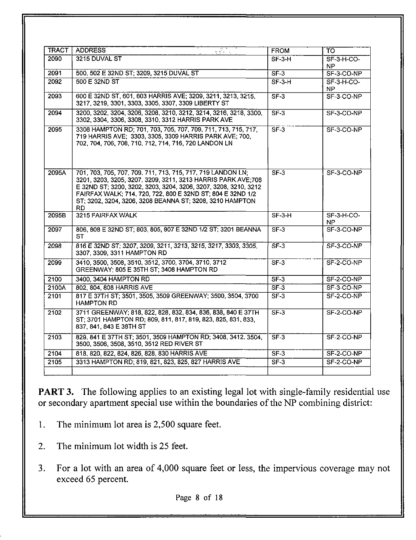| <b>TRACT I</b> | <b>ADDRESS</b>                                                                                                                                                                                                                                                                                                                  | <b>FROM</b>                                        | TO                  |
|----------------|---------------------------------------------------------------------------------------------------------------------------------------------------------------------------------------------------------------------------------------------------------------------------------------------------------------------------------|----------------------------------------------------|---------------------|
| 2090           | 3215 DUVAL ST                                                                                                                                                                                                                                                                                                                   | $SF-3-H$                                           | $SF-3-H-CO-$<br>NP. |
| 2091           | 500, 502 E 32ND ST; 3209, 3215 DUVAL ST                                                                                                                                                                                                                                                                                         | $SF-3$                                             | SF-3-CO-NP          |
| 2092           | 500 E 32ND ST                                                                                                                                                                                                                                                                                                                   | $SF-3-H$                                           | $SF-3-H-CO-$<br>NP. |
| 2093           | 600 E 32ND ST, 601, 603 HARRIS AVE; 3209, 3211, 3213, 3215,<br>3217, 3219, 3301, 3303, 3305, 3307, 3309 LIBERTY ST                                                                                                                                                                                                              | $SF-3$                                             | SF-3-CO-NP          |
| 2094           | 3200, 3202, 3204, 3206, 3208, 3210, 3212, 3214, 3216, 3218, 3300,<br>3302, 3304, 3306, 3308, 3310, 3312 HARRIS PARK AVE                                                                                                                                                                                                         | $SF-3$                                             | SF-3-CO-NP          |
| 2095           | 3308 HAMPTON RD; 701, 703, 705, 707, 709, 711, 713, 715, 717,<br>719 HARRIS AVE; 3303, 3305, 3309 HARRIS PARK AVE; 700,<br>702, 704, 706, 708, 710, 712, 714, 716, 720 LANDON LN                                                                                                                                                | $\overline{\mathsf{SF}}\cdot\overline{\mathsf{3}}$ | SF-3-CO-NP          |
| 2095A          | 701, 703, 705, 707, 709, 711, 713, 715, 717, 719 LANDON LN,<br>3201, 3203, 3205, 3207, 3209, 3211, 3213 HARRIS PARK AVE:708<br>E 32ND ST; 3200, 3202, 3203, 3204, 3206, 3207, 3208, 3210, 3212<br>FAIRFAX WALK; 714, 720, 722, 800 E 32ND ST; 804 E 32ND 1/2<br>ST; 3202, 3204, 3206, 3208 BEANNA ST; 3208, 3210 HAMPTON<br>RD. | $SF-3$                                             | SF-3-CO-NP          |
| 2095B          | 3215 FAIRFAX WALK                                                                                                                                                                                                                                                                                                               | $SF-3-H$                                           | $SF-3-H-CO-$<br>NP. |
| 2097           | 806, 808 E 32ND ST; 803, 805, 807 E 32ND 1/2 ST; 3201 BEANNA<br>ST                                                                                                                                                                                                                                                              | $SF-3$                                             | SF-3-CO-NP          |
| 2098           | 816 E 32ND ST; 3207, 3209, 3211, 3213, 3215, 3217, 3303, 3305,<br>3307, 3309, 3311 HAMPTON RD                                                                                                                                                                                                                                   | $ST-3$                                             | SF-3-CO-NP          |
| 2099           | 3410, 3500, 3508, 3510, 3512, 3700, 3704, 3710, 3712<br>GREENWAY: 805 E 35TH ST; 3408 HAMPTON RD                                                                                                                                                                                                                                | SF <sub>3</sub>                                    | SF-2-CO-NP          |
| 2100           | 3400, 3404 HAMPTON RD                                                                                                                                                                                                                                                                                                           | $SF-3$                                             | SF-2-CO-NP          |
| 2100A          | 802, 804, 808 HARRIS AVE                                                                                                                                                                                                                                                                                                        | $SF-3$                                             | SF-3-CO-NP          |
| 2101           | 817 E 37TH ST; 3501, 3505, 3509 GREENWAY; 3500, 3504, 3700<br><b>HAMPTON RD</b>                                                                                                                                                                                                                                                 | $SF-3$                                             | SF-2-CO-NP          |
| 2102           | 3711 GREENWAY; 818, 822, 828, 832, 834, 836, 838, 840 E 37TH<br>ST; 3701 HAMPTON RD; 809, 811, 817, 819, 823, 825, 831, 833,<br>837, 841, 843 E 38TH ST                                                                                                                                                                         | $SF-3$                                             | SF-2-CO-NP          |
| 2103           | 829, 841 E 37TH ST; 3501, 3509 HAMPTON RD; 3408, 3412, 3504.<br>3500, 3506, 3508, 3510, 3512 RED RIVER ST                                                                                                                                                                                                                       | ST3                                                | SF-2-CO-NP          |
|                |                                                                                                                                                                                                                                                                                                                                 |                                                    |                     |
| 2104           | 818, 820, 822, 824, 826, 828, 830 HARRIS AVE                                                                                                                                                                                                                                                                                    | $SF-3$                                             | SF-2-CO-NP          |

PART 3. The following applies to an existing legal lot with single-family residential use or secondary apartment special use within the boundaries of the NP combining district:

- 1. The minimum lot area is 2,500 square feet.
- The minimum lot width is 25 feet.  $2.$
- 3. For a lot with an area of 4,000 square feet or less, the impervious coverage may not exceed 65 percent.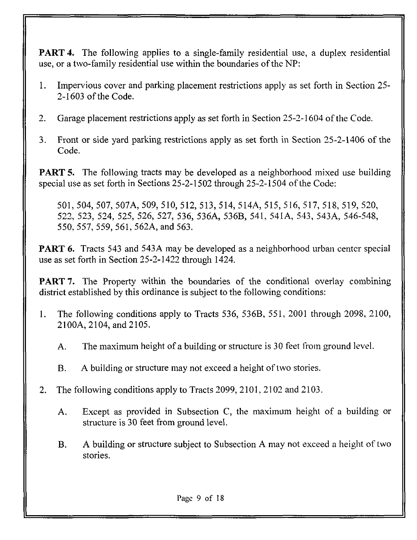**PART 4.** The following applies to a single-family residential use, a duplex residential use, or a two-family residential use within the boundaries of the NP:

- 1. Impervious cover and parking placement restrictions apply as set forth in Section 25- 2-1603 of the Code,
- 2. Garage placement restrictions apply as set forth in Section 25-2-1604 of the Code.
- 3. Front or side yard parking restrictions apply as set forth in Section 25-2-1406 of the Code.

**PART 5.** The following tracts may be developed as a neighborhood mixed use building special use as set forth in Sections 25-2-1502 through 25-2-1504 of the Code:

501, 504, 507, 507A, 509, 510, 512, 513, 514, 514A, 515, 516, 517, 518, 519, 520, 522, 523, 524, 525, 526, 527, 536, 536A, 536B, 541, 541A, 543, 543A, 546-548, 550, 557, 559, 561, 562A, and 563.

**PART 6.** Tracts 543 and 543A may be developed as a neighborhood urban center special use as set forth in Section 25-2-1422 through 1424.

**PART 7.** The Property within the boundaries of the conditional overlay combining district established by this ordinance is subject to the following conditions:

- 1. The following conditions apply to Tracts 536, 536B, 551, 2001 through 2098, 2100, 2100A, 2104, and 2105.
	- A. The maximum height of a building or structure is 30 feet from ground level.
	- B. A building or structure may not exceed a height of two stories.
- 2. The following conditions apply to Tracts 2099, 2101, 2102 and 2103.
	- A. Except as provided in Subsection C, the maximum height of a building or structure is 30 feet from ground level.
	- B. A building or structure subject to Subsection A may not exceed a height of two stories.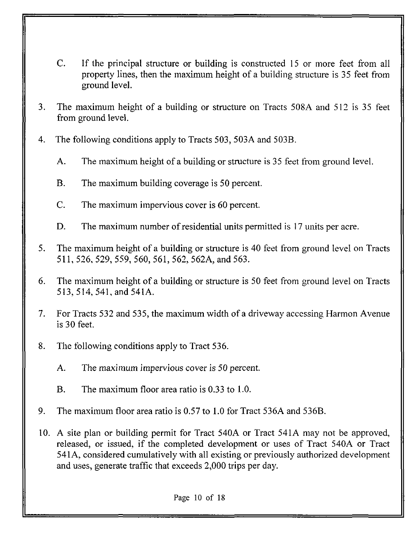- C. If the principal structure or building is constructed 15 or more feet from all property lines, then the maximum height of a building structure is 35 feet from ground level.
- 3. The maximum height of a building or structure on Tracts 508A and 512 is 35 feet from ground level.
- 4. The following conditions apply to Tracts 503, 503A and 503B.
	- A. The maximum height of a building or structure is 35 feet from ground level.
	- B. The maximum building coverage is 50 percent.
	- C. The maximum impervious cover is 60 percent.
	- D. The maximum number of residential units permitted is 17 units per acre.
- 5. The maximum height of a building or structure is 40 feet from ground level on Tracts 511, 526, 529, 559, 560, 561, 562, 562A, and 563.
- 6. The maximum height of a building or structure is 50 feet from ground level on Tracts 513,514, 541,and 541A.
- 7. For Tracts 532 and 535, the maximum width of a driveway accessing Harmon Avenue is 30 feet.
- 8. The following conditions apply to Tract 536.
	- A. The maximum impervious cover is 50 percent.
	- B. The maximum floor area ratio is 0.33 to 1.0.
- 9. The maximum floor area ratio is 0.57 to 1.0 for Tract 536A and 536B.
- 10. A site plan or building permit for Tract 540A or Tract 541A may not be approved, released, or issued, if the completed development or uses of Tract 540A or Tract 541A, considered cumulatively with all existing or previously authorized development and uses, generate traffic that exceeds 2,000 trips per day.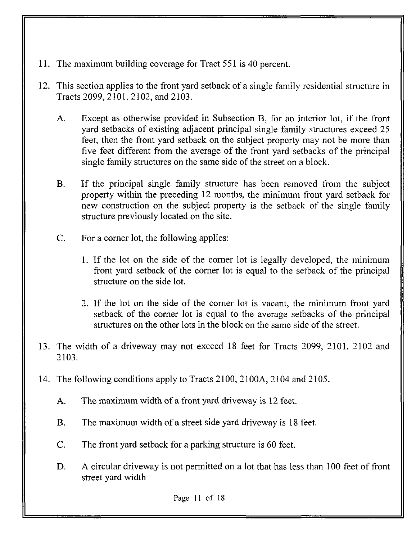- 11. The maximum building coverage for Tract 551 is 40 percent.
- 12. This section applies to the front yard setback of a single family residential structure in Tracts 2099, 2101, 2102, and 2103.
	- A. Except as otherwise provided in Subsection B, for an interior lot, if the front yard setbacks of existing adjacent principal single family structures exceed 25 feet, then the front yard setback on the subject property may not be more than five feet different from the average of the front yard setbacks of the principal single family structures on the same side of the street on a block.
	- B. If the principal single family structure has been removed from the subject property within the preceding 12 months, the minimum front yard setback for new construction on the subject property is the setback of the single family structure previously located on the site.
	- C. For a corner lot, the following applies:
		- 1. If the lot on the side of the corner lot is legally developed, the minimum front yard setback of the corner lot is equal to the setback of the principal structure on the side lot.
		- 2. If the lot on the side of the corner lot is vacant, the minimum front yard setback of the corner lot is equal to the average setbacks of the principal structures on the other lots in the block on the same side of the street.
- 13. The width of a driveway may not exceed 18 feet for Tracts 2099, 2101, 2102 and 2103.
- 14. The following conditions apply to Tracts 2100, 2100A, 2104 and 2105.
	- A. The maximum width of a front yard driveway is 12 feet.
	- B. The maximum width of a street side yard driveway is 18 feet.
	- C. The front yard setback for a parking structure is 60 feet.
	- D. A circular driveway is not permitted on a lot that has less than 100 feet of front street yard width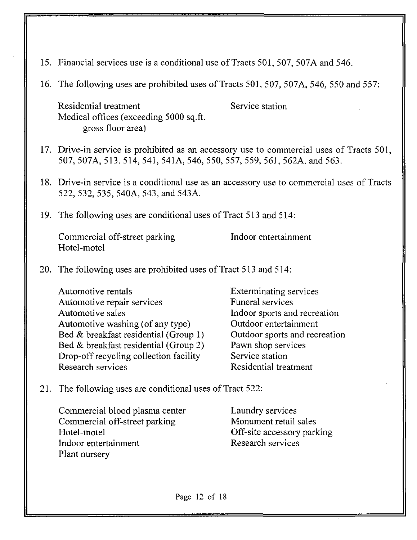- 15. Financial services use is a conditional use of Tracts 501, 507, 507A and 546.
- 16. The following uses are prohibited uses of Tracts 501, 507, 507A, 546, 550 and 557:

Residential treatment Service station Medical offices (exceeding 5000 sq.ft. gross floor area)

- 17. Drive-in service is prohibited as an accessory use to commercial uses of Tracts 501, 507, 507A, 513, 514, 541, 541A, 546, 550, 557, 559, 561, 562A, and 563.
- 18. Drive-in service is a conditional use as an accessory use to commercial uses of Tracts 522, 532, 535, 540A, 543, and 543A.
- 19. The following uses are conditional uses of Tract 513 and 514:

Commercial off-street parking Theorem Indoor entertainment Hotel-motel

20. The following uses are prohibited uses of Tract 513 and 514:

Automotive rentals **Exterminating services** Automotive repair services Funeral services Automotive sales **Indoor** sports and recreation Automotive washing (of any type) Outdoor entertainment Bed & breakfast residential (Group 1) Outdoor sports and recreation Bed & breakfast residential (Group 2) Pawn shop services Drop-off recycling collection facility Service station Research services Residential treatment

21. The following uses are conditional uses of Tract 522:

Commercial blood plasma center Laundry services Commercial off-street parking Monument retail sales Hotel-motel Off-site accessory parking Indoor entertainment Research services Plant nursery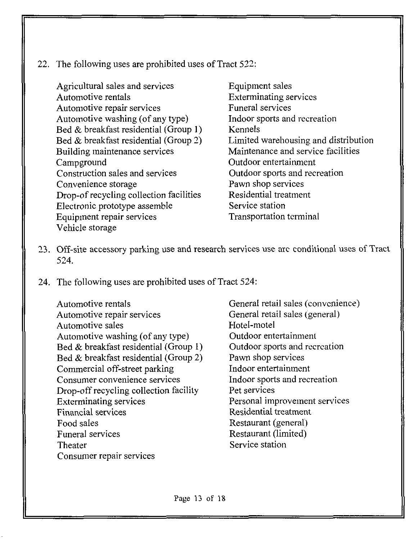22. The following uses are prohibited uses of Tract 522:

Agricultural sales and services Automotive rentals Automotive repair services Automotive washing (of any type) Bed & breakfast residential (Group 1) Bed & breakfast residential (Group 2) Building maintenance services Campground Construction sales and services Convenience storage Drop-of recycling collection facilities Electronic prototype assemble Equipment repair services Vehicle storage

Equipment sales Exterminating services Funeral services Indoor sports and recreation Kennels Limited warehousing and distribution Maintenance and service facilities Outdoor entertainment Outdoor sports and recreation Pawn shop services Residential treatment Service station Transportation terminal

- 23. Off-site accessory parking use and research services use arc conditional uses of Tract 524.
- 24. The following uses are prohibited uses of Tract 524:

Automotive rentals Automotive repair services Automotive sales Automotive washing (of any type) Bed & breakfast residential (Group 1) Bed & breakfast residential (Group 2) Commercial off-street parking Consumer convenience services Drop-off recycling collection facility Exterminating services Financial services Food sales Funeral services Theater Consumer repair services

General retail sales (convenience) General retail sales (general) Hotel-motel Outdoor entertainment Outdoor sports and recreation Pawn shop services Indoor entertainment Indoor sports and recreation Pet services Personal improvement services Residential treatment Restaurant (general) Restaurant (limited) Service station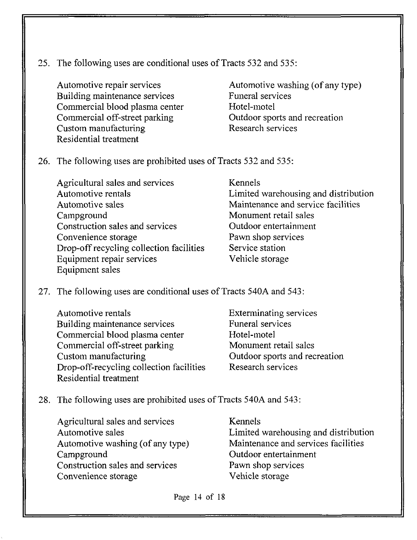25. The following uses are conditional uses of Tracts 532 and 535:

Automotive repair services Building maintenance services Commercial blood plasma center Commercial off-street parking Custom manufacturing Residential treatment

Automotive washing (of any type) Funeral services Hotel-motel Outdoor sports and recreation Research services

- 26. The following uses are prohibited uses of Tracts 532 and 535:
	- Agricultural sales and services Automotive rentals Automotive sales Campground Construction sales and services Convenience storage Drop-off recycling collection facilities Equipment repair services Equipment sales

Kennels Limited warehousing and distribution Maintenance and service facilities Monument retail sales Outdoor entertainment Pawn shop services Service station Vehicle storage

- 27. The following uses are conditional uses of Tracts 540A and 543:
	- Automotive rentals Building maintenance services Commercial blood plasma center Commercial off-street parking Custom manufacturing Drop-off-recycling collection facilities Residential treatment

Exterminating services Funeral services Hotel-motel Monument retail sales Outdoor sports and recreation Research services

- 28. The following uses are prohibited uses of Tracts 540A and 543:
	- Agricultural sales and services Automotive sales Automotive washing (of any type) Campground Construction sales and services Convenience storage

Kennels Limited warehousing and distribution Maintenance and services facilities Outdoor entertainment Pawn shop services Vehicle storage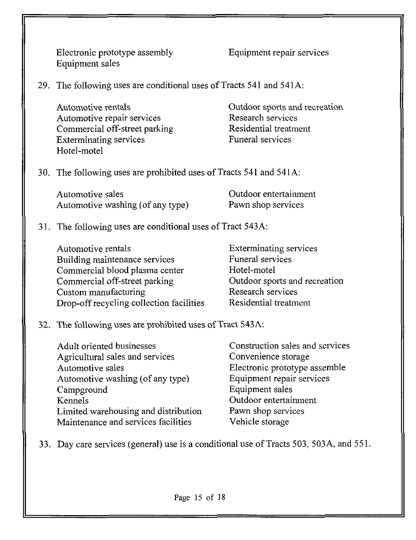Electronic prototype assembly Equipment sales

Equipment repair services

29. The following uses are conditional uses of Tracts 541 and 541 A:

Automotive rentals Automotive repair services Commercial off-street parking Exterminating services Hotel-motel

Outdoor sports and recreation Research services Residential treatment Funeral services

30. The following uses are prohibited uses of Tracts 541 and 541 A:

| Automotive sales                 | Outdoor entertainment |
|----------------------------------|-----------------------|
| Automotive washing (of any type) | Pawn shop services    |

# 31. The following uses are conditional uses of Tract 543 A:

| Automotive rentals                       | <b>Exterminating services</b> |
|------------------------------------------|-------------------------------|
| Building maintenance services            | Funeral services              |
| Commercial blood plasma center           | Hotel-motel                   |
| Commercial off-street parking            | Outdoor sports and recreation |
| Custom manufacturing                     | Research services             |
| Drop-off recycling collection facilities | Residential treatment         |

## 32. The following uses are prohibited uses of Tract 543 A:

| Adult oriented businesses            | Construction sales and scrvices |
|--------------------------------------|---------------------------------|
| Agricultural sales and services      | Convenience storage             |
| Automotive sales                     | Electronic prototype assemble   |
| Automotive washing (of any type)     | Equipment repair services       |
| Campground                           | Equipment sales                 |
| Kennels                              | Outdoor entertainment           |
| Limited warehousing and distribution | Pawn shop services              |
| Maintenance and services facilities  | Vehicle storage                 |

33. Day care services (general) use is a conditional use of Tracts 503, 503A, and 551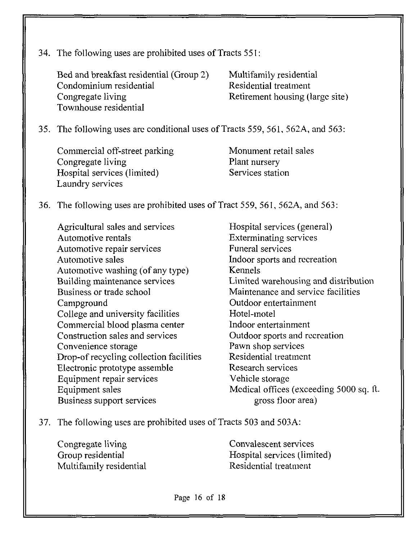|  | 34. The following uses are prohibited uses of Tracts 551: |  |  |
|--|-----------------------------------------------------------|--|--|
|--|-----------------------------------------------------------|--|--|

Bed and breakfast residential (Group 2) Multifamily residential Condominium residential Residential treatment Congregate living Retirement housing (large site) Townhouse residential

35. The following uses are conditional uses of Tracts 559, 561, 562A, and 563:

Commercial off-street parking Congregate living Hospital services (limited) Laundry services

Monument retail sales Plant nursery Services station

36. The following uses are prohibited uses of Tract 559, 561, 562A, and 563

Agricultural sales and services Automotive rentals Automotive repair services Automotive sales Automotive washing (of any type) Building maintenance services Business or trade school Campground College and university facilities Commercial blood plasma center Construction sales and services Convenience storage Drop-of recycling collection facilities Electronic prototype assemble Equipment repair services Equipment sales Business support services

Hospital services (general) Exterminating services Funeral services Indoor sports and recreation Kennels Limited warehousing and distribution Maintenance and service facilities Outdoor entertainment Hotel-motel Indoor entertainment Outdoor sports and recreation Pawn shop services Residential treatment Research services Vehicle storage Medical offices (exceeding 5000 sq. ft. gross floor area)

37. The following uses are prohibited uses of Tracts 503 and 503A:

Congregate living Group residential Multifamily residential

Convalescent services Hospital services (limited) Residential treatment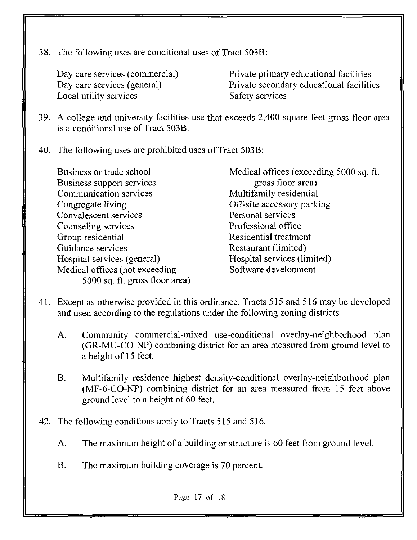38. The following uses are conditional uses of Tract 503B:

Day care services (commercial) Day care services (general) Local utility services

Private primary educational facilities Private secondary educational facilities Safety services

- 39. A college and university facilities use that exceeds 2,400 square feet gross floor area is a conditional use of Tract 503B.
- 40. The following uses are prohibited uses of Tract 503B:

Business or trade school Business support services Communication services Congregate living Convalescent services Counseling services Group residential Guidance services Hospital services (general) Medical offices (not exceeding 5000 sq. ft. gross floor area)

Medical offices (exceeding 5000 sq. ft. gross floor area) Multifamily residential Off-site accessory parking Personal services Professional office Residential treatment Restaurant (limited) Hospital services (limited) Software development

- 41. Except as otherwise provided in this ordinance, Tracts 515 and 516 may be developed and used according to the regulations under the following zoning districts
	- A. Community commercial-mixed use-conditional overlay-neighborhood plan (GR-MU-CO-NP) combining district for an area measured from ground level to a height of 15 feet.
	- B. Multifamily residence highest density-conditional overlay-neighborhood plan (MF-6-CO-NP) combining district for an area measured from 15 feet above ground level to a height of 60 feet.
- 42. The following conditions apply to Tracts 515 and 516.
	- A. The maximum height of a building or structure is 60 feet from ground level.
	- B. The maximum building coverage is 70 percent.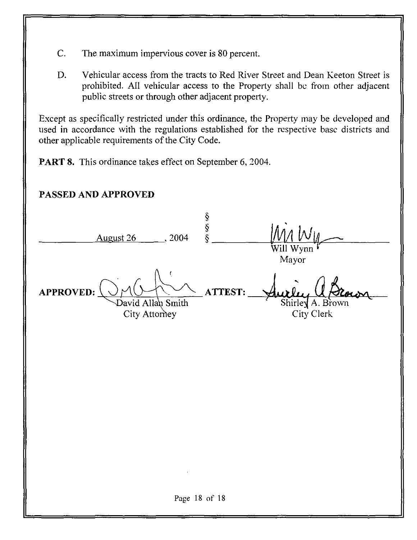- C. The maximum impervious cover is 80 percent.
- D. Vehicular access from the tracts to Red River Street and Dean Keeton Street is prohibited. All vehicular access to the Property shall be from other adjacent public streets or through other adjacent property.

Except as specifically restricted under this ordinance, the Property may be developed and used in accordance with the regulations established for the respective base districts and other applicable requirements of the City Code.

PART 8. This ordinance takes effect on September 6, 2004.

| PASSED AND APPROVED                                         |                  |                                |
|-------------------------------------------------------------|------------------|--------------------------------|
| August 26<br>, 2004                                         | <b>ડ્ડ</b><br>ડુ | Will Wynn<br>Mayor             |
| Ç<br><b>APPROVED:</b><br>David Allan Smith<br>City Attorney | <b>ATTEST:</b>   | Shirley A. Brown<br>City Clerk |
|                                                             |                  |                                |
|                                                             |                  |                                |
| $\bullet$                                                   |                  |                                |
| Page 18 of 18                                               |                  |                                |
|                                                             |                  |                                |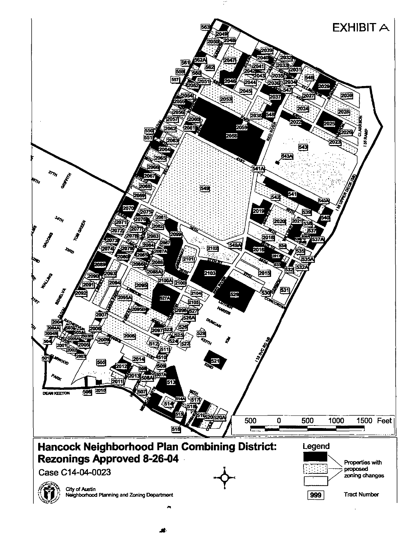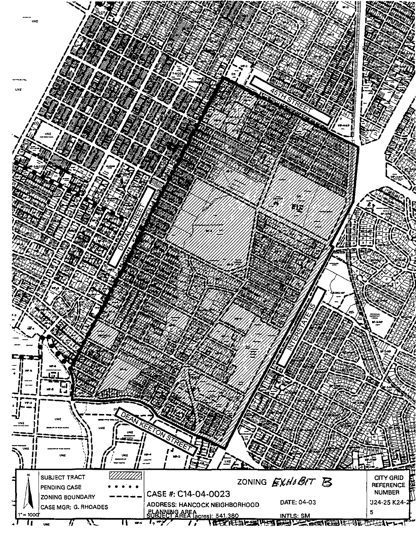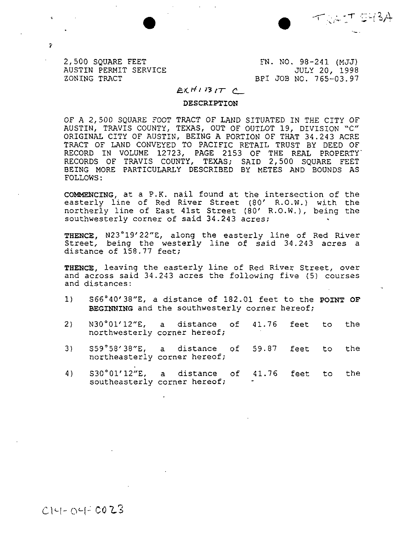十六六十 5434

2,500 SQUARE FEET AUSTIN PERMIT SERVICE ZONING TRACT

 $\overline{r}$ 

FN . NO, 98-241 (MJJ) JULY 20, 1998 BPI JOB NO. 765-03.97

#### $E\times H1$  13  $IT$   $C$

#### DESCRIPTION

OF A 2,500 SQUARE TOOT TRACT OF LAND SITUATED IN THE CITY OF AUSTIN, TRAVIS COUNTY, TEXAS, OUT OF OUTLOT 19, DIVISION "C" ORIGINAL CITY OF AUSTIN, BEING A PORTION OF THAT 34.243 ACRE TRACT OF LAND CONVEYED TO PACIFIC RETAIL TRUST BY DEED OF RECORD IN VOLUME 12723, PAGE 2153 OF THE REAL PROPERTY' RECORDS OF TRAVIS COUNTY, TEXAS; SAID 2,500 SQUARE FEET BEING MORE PARTICULARLY DESCRIBED BY METES AND BOUNDS AS FOLLOWS :

COMMENCING, at a P.K. nail found at the intersection of the easterly line of Red River Street (80' R.O.W.) with the northerly line of East 41st Street (80' R.O.W.)/ being the southwesterly corner of said 34.243 acres;

THENCE, N23°19'22"E, along the easterly line of Red River Street, being the westerly line of said 34.243 acres a distance of 158.77 feet;

THENCE, leaving the easterly line of Red River Street, over and across said 34.243 acres the following five (5) courses and distances:

- 1) S66°40'38"E, a distance of 182.01 feet to the POINT OP BEGINNING and the southwesterly corner hereof;
- 2) N30°01'12"E, a distance of 41.76 feet to the northwesterly corner hereof;
- 3) S59°58'38"Er a distance of 59.87 feet to the northeasterly corner hereof;
- 4) S30°01'12"E, a distance of 41.76 feet to the southeasterly corner hereof;

 $C14 - O4 = 0023$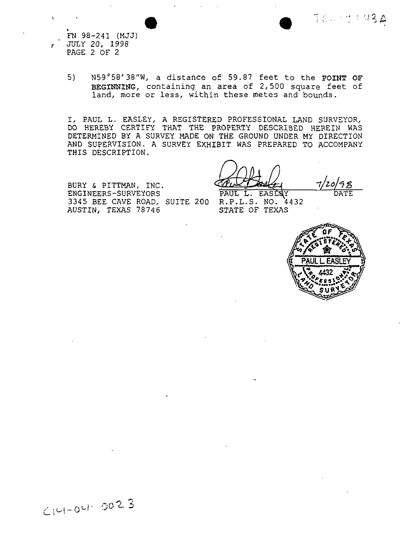FN 98-241 (MJJ) JULY 20, 1990 PAGE 2 OF 2

 $\mathbf{r}$ 

5) N59°58'3B"W, a distance of 59.87 feet to the POINT OF BEGINNING, containing an area of 2,500 square feet of land, more or less, within these metes and bounds.

I, PAUL L. EASLEY, A REGISTERED PROFESSIONAL LAND SURVEYOR, DO HEREBY CERTIFY THAT THE PROPERTY DESCRIBED HEREIN WAS DETERMINED BY A SURVEY MADE ON THE GROUND UNDER MY DIRECTION AND SUPERVISION. A SURVEY EXHIBIT WAS PREPARED TO ACCOMPANY THIS DESCRIPTION.

BURY & PITTMAN, INC. ENGINEERS-SURVEYORS 3345 BEE CAVE ROAD, SUITE 200 R.P.L.S. NO. 4432 AUSTIN, TEXAS 78746

PAUL L. EASLAY

DATE

7800001434

STATE OF TEXAS